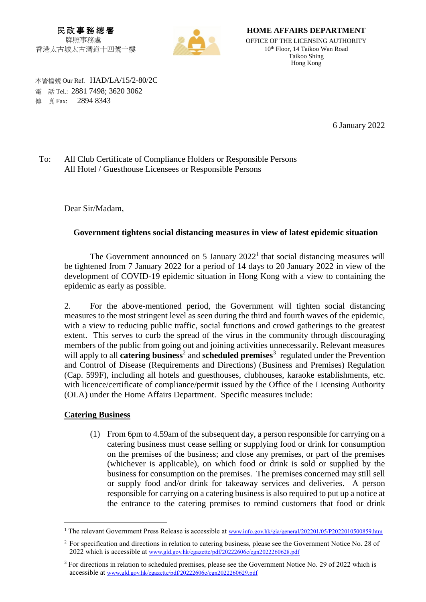民 政 事 務 總 署 牌照事務處 香港太古城太古灣道十四號十樓



**HOME AFFAIRS DEPARTMENT**

OFFICE OF THE LICENSING AUTHORITY 10 th Floor, 14 Taikoo Wan Road Taikoo Shing Hong Kong

 本署檔號 Our Ref. HAD/LA/15/2-80/2C 電 話 Tel.: 2881 7498; 3620 3062 **傳 直 Fax: 2894 8343** 

6 January 2022

To: All Club Certificate of Compliance Holders or Responsible Persons All Hotel / Guesthouse Licensees or Responsible Persons

Dear Sir/Madam,

## **Government tightens social distancing measures in view of latest epidemic situation**

The Government announced on 5 January  $2022<sup>1</sup>$  that social distancing measures will be tightened from 7 January 2022 for a period of 14 days to 20 January 2022 in view of the development of COVID-19 epidemic situation in Hong Kong with a view to containing the epidemic as early as possible.

2. For the above-mentioned period, the Government will tighten social distancing measures to the most stringent level as seen during the third and fourth waves of the epidemic, with a view to reducing public traffic, social functions and crowd gatherings to the greatest extent. This serves to curb the spread of the virus in the community through discouraging members of the public from going out and joining activities unnecessarily. Relevant measures will apply to all **catering business**<sup>2</sup> and **scheduled premises**<sup>3</sup> regulated under the Prevention and Control of Disease (Requirements and Directions) (Business and Premises) Regulation (Cap. 599F), including all hotels and guesthouses, clubhouses, karaoke establishments, etc. with licence/certificate of compliance/permit issued by the Office of the Licensing Authority (OLA) under the Home Affairs Department. Specific measures include:

## **Catering Business**

 $\overline{a}$ 

(1) From 6pm to 4.59am of the subsequent day, a person responsible for carrying on a catering business must cease selling or supplying food or drink for consumption on the premises of the business; and close any premises, or part of the premises (whichever is applicable), on which food or drink is sold or supplied by the business for consumption on the premises. The premises concerned may still sell or supply food and/or drink for takeaway services and deliveries. A person responsible for carrying on a catering business is also required to put up a notice at the entrance to the catering premises to remind customers that food or drink

<sup>&</sup>lt;sup>1</sup> The relevant Government Press Release is accessible at [www.info.gov.hk/gia/general/202201/05/P2022010500859.htm](http://www.info.gov.hk/gia/general/202201/05/P2022010500859.htm)

<sup>2</sup> For specification and directions in relation to catering business, please see the Government Notice No. 28 of 2022 which is accessible at [www.gld.gov.hk/egazette/pdf/20222606e/egn2022260628.pdf](http://www.gld.gov.hk/egazette/pdf/20222606e/egn2022260628.pdf)

<sup>3</sup> For directions in relation to scheduled premises, please see the Government Notice No. 29 of 2022 which is accessible at [www.gld.gov.hk/egazette/pdf/20222606e/egn2022260629.pdf](http://www.gld.gov.hk/egazette/pdf/20222606e/egn2022260629.pdf)